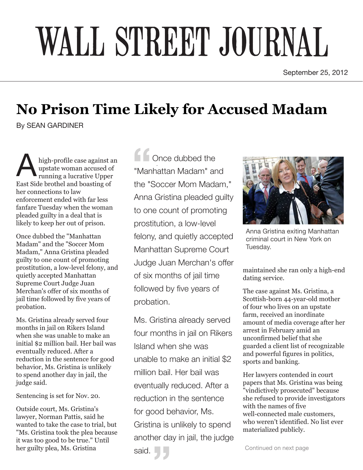## WALL STREET JOURNAL

September 25, 2012

## **No Prison Time Likely for Accused Madam**

By SEAN GARDINER

high-profile case against an upstate woman accused of running a lucrative Upper East Side brothel and boasting of her connections to law enforcement ended with far less fanfare Tuesday when the woman pleaded guilty in a deal that is likely to keep her out of prison. A high-profile case against an<br>upstate woman accused of<br>Fast Side brothel and boasting of the "Soccer Mom Madam"<br>the "Soccer Mom Madam"

Once dubbed the "Manhattan Madam" and the "Soccer Mom Madam," Anna Gristina pleaded guilty to one count of promoting prostitution, a low-level felony, and quietly accepted Manhattan Supreme Court Judge Juan Merchan's offer of six months of jail time followed by five years of probation.

Ms. Gristina already served four months in jail on Rikers Island when she was unable to make an initial \$2 million bail. Her bail was eventually reduced. After a reduction in the sentence for good behavior, Ms. Gristina is unlikely to spend another day in jail, the judge said.

Sentencing is set for Nov. 20.

Outside court, Ms. Gristina's lawyer, Norman Pattis, said he wanted to take the case to trial, but "Ms. Gristina took the plea because it was too good to be true." Until her guilty plea, Ms. Gristina

"Manhattan Madam" and the "Soccer Mom Madam," Anna Gristina pleaded guilty to one count of promoting prostitution, a low-level felony, and quietly accepted Manhattan Supreme Court Judge Juan Merchan's offer of six months of jail time followed by five years of probation.

Ms. Gristina already served four months in jail on Rikers Island when she was unable to make an initial \$2 million bail. Her bail was eventually reduced. After a reduction in the sentence for good behavior, Ms. Gristina is unlikely to spend another day in jail, the judge said.



Anna Gristina exiting Manhattan criminal court in New York on Tuesday.

maintained she ran only a high-end dating service.

The case against Ms. Gristina, a Scottish-born 44-year-old mother of four who lives on an upstate farm, received an inordinate amount of media coverage after her arrest in February amid an unconfirmed belief that she guarded a client list of recognizable and powerful figures in politics, sports and banking.

Her lawyers contended in court papers that Ms. Gristina was being "vindictively prosecuted" because she refused to provide investigators with the names of five well-connected male customers, who weren't identified. No list ever materialized publicly.

Continued on next page